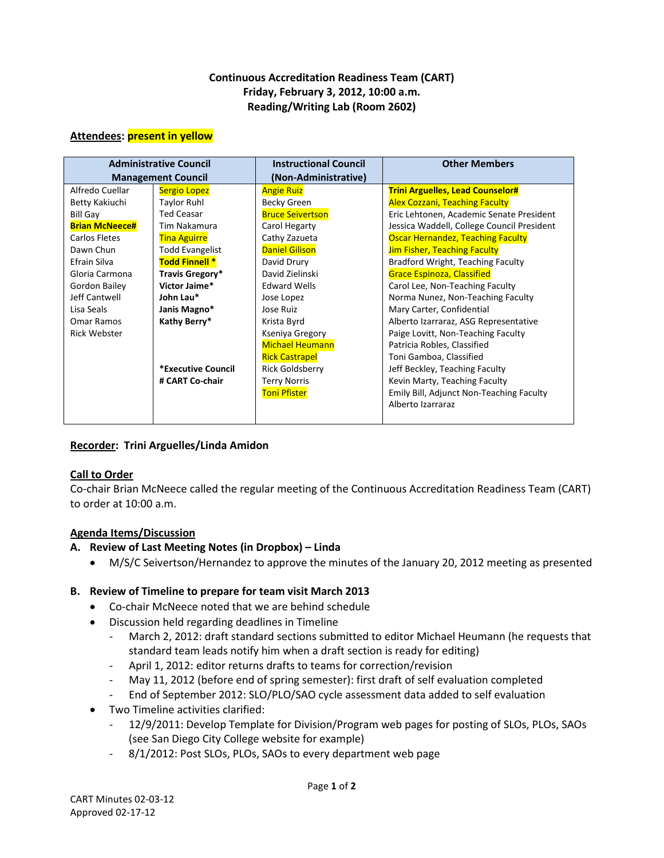# **Continuous Accreditation Readiness Team (CART) Friday, February 3, 2012, 10:00 a.m. Reading/Writing Lab (Room 2602)**

#### **Attendees: present in yellow**

| <b>Administrative Council</b> |                        | <b>Instructional Council</b> | <b>Other Members</b>                       |
|-------------------------------|------------------------|------------------------------|--------------------------------------------|
| <b>Management Council</b>     |                        | (Non-Administrative)         |                                            |
| Alfredo Cuellar               | Sergio Lopez           | <b>Angie Ruiz</b>            | <b>Trini Arguelles, Lead Counselor#</b>    |
| Betty Kakiuchi                | <b>Taylor Ruhl</b>     | Becky Green                  | <b>Alex Cozzani, Teaching Faculty</b>      |
| <b>Bill Gay</b>               | <b>Ted Ceasar</b>      | <b>Bruce Seivertson</b>      | Eric Lehtonen, Academic Senate President   |
| <b>Brian McNeece#</b>         | Tim Nakamura           | Carol Hegarty                | Jessica Waddell, College Council President |
| Carlos Fletes                 | <b>Tina Aguirre</b>    | Cathy Zazueta                | <b>Oscar Hernandez, Teaching Faculty</b>   |
| Dawn Chun                     | <b>Todd Evangelist</b> | <b>Daniel Gilison</b>        | <b>Jim Fisher, Teaching Faculty</b>        |
| Efrain Silva                  | <b>Todd Finnell *</b>  | David Drury                  | Bradford Wright, Teaching Faculty          |
| Gloria Carmona                | Travis Gregory*        | David Zielinski              | <b>Grace Espinoza, Classified</b>          |
| Gordon Bailey                 | Victor Jaime*          | <b>Edward Wells</b>          | Carol Lee, Non-Teaching Faculty            |
| Jeff Cantwell                 | John Lau*              | Jose Lopez                   | Norma Nunez, Non-Teaching Faculty          |
| Lisa Seals                    | Janis Magno*           | Jose Ruiz                    | Mary Carter, Confidential                  |
| Omar Ramos                    | Kathy Berry*           | Krista Byrd                  | Alberto Izarraraz, ASG Representative      |
| <b>Rick Webster</b>           |                        | Kseniya Gregory              | Paige Lovitt, Non-Teaching Faculty         |
|                               |                        | <b>Michael Heumann</b>       | Patricia Robles, Classified                |
|                               |                        | <b>Rick Castrapel</b>        | Toni Gamboa, Classified                    |
|                               | *Executive Council     | <b>Rick Goldsberry</b>       | Jeff Beckley, Teaching Faculty             |
|                               | # CART Co-chair        | <b>Terry Norris</b>          | Kevin Marty, Teaching Faculty              |
|                               |                        | <b>Toni Pfister</b>          | Emily Bill, Adjunct Non-Teaching Faculty   |
|                               |                        |                              | Alberto Izarraraz                          |
|                               |                        |                              |                                            |

# **Recorder: Trini Arguelles/Linda Amidon**

#### **Call to Order**

Co-chair Brian McNeece called the regular meeting of the Continuous Accreditation Readiness Team (CART) to order at 10:00 a.m.

# **Agenda Items/Discussion**

#### **A. Review of Last Meeting Notes (in Dropbox) – Linda**

• M/S/C Seivertson/Hernandez to approve the minutes of the January 20, 2012 meeting as presented

# **B. Review of Timeline to prepare for team visit March 2013**

- Co-chair McNeece noted that we are behind schedule
- Discussion held regarding deadlines in Timeline
	- March 2, 2012: draft standard sections submitted to editor Michael Heumann (he requests that standard team leads notify him when a draft section is ready for editing)
	- April 1, 2012: editor returns drafts to teams for correction/revision
	- May 11, 2012 (before end of spring semester): first draft of self evaluation completed
	- End of September 2012: SLO/PLO/SAO cycle assessment data added to self evaluation
- Two Timeline activities clarified:
	- 12/9/2011: Develop Template for Division/Program web pages for posting of SLOs, PLOs, SAOs (see San Diego City College website for example)
	- 8/1/2012: Post SLOs, PLOs, SAOs to every department web page